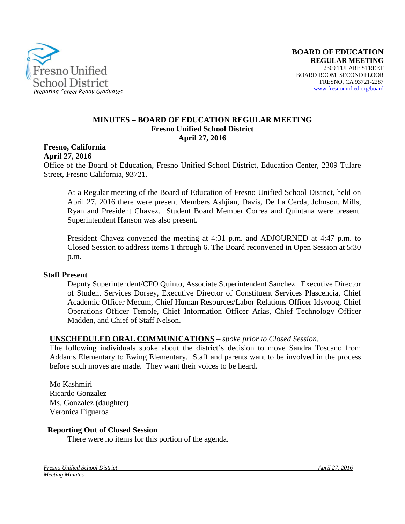

#### **MINUTES – BOARD OF EDUCATION REGULAR MEETING Fresno Unified School District April 27, 2016**

**Fresno, California April 27, 2016**

Office of the Board of Education, Fresno Unified School District, Education Center, 2309 Tulare Street, Fresno California, 93721.

At a Regular meeting of the Board of Education of Fresno Unified School District, held on April 27, 2016 there were present Members Ashjian, Davis, De La Cerda, Johnson, Mills, Ryan and President Chavez. Student Board Member Correa and Quintana were present. Superintendent Hanson was also present.

President Chavez convened the meeting at 4:31 p.m. and ADJOURNED at 4:47 p.m. to Closed Session to address items 1 through 6. The Board reconvened in Open Session at 5:30 p.m.

#### **Staff Present**

Deputy Superintendent/CFO Quinto, Associate Superintendent Sanchez. Executive Director of Student Services Dorsey, Executive Director of Constituent Services Plascencia, Chief Academic Officer Mecum, Chief Human Resources/Labor Relations Officer Idsvoog, Chief Operations Officer Temple, Chief Information Officer Arias, Chief Technology Officer Madden, and Chief of Staff Nelson.

#### **UNSCHEDULED ORAL COMMUNICATIONS** – *spoke prior to Closed Session.*

The following individuals spoke about the district's decision to move Sandra Toscano from Addams Elementary to Ewing Elementary. Staff and parents want to be involved in the process before such moves are made. They want their voices to be heard.

Mo Kashmiri Ricardo Gonzalez Ms. Gonzalez (daughter) Veronica Figueroa

#### **Reporting Out of Closed Session**

There were no items for this portion of the agenda.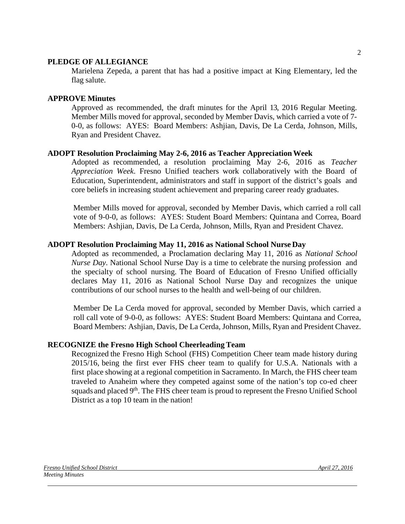#### **PLEDGE OF ALLEGIANCE**

Marielena Zepeda, a parent that has had a positive impact at King Elementary, led the flag salute.

#### **APPROVE Minutes**

Approved as recommended, the draft minutes for the April 13, 2016 Regular Meeting. Member Mills moved for approval, seconded by Member Davis, which carried a vote of 7- 0-0, as follows: AYES: Board Members: Ashjian, Davis, De La Cerda, Johnson, Mills, Ryan and President Chavez.

#### **ADOPT Resolution Proclaiming May 2-6, 2016 as Teacher AppreciationWeek**

Adopted as recommended, a resolution proclaiming May 2-6, 2016 as *Teacher Appreciation Week*. Fresno Unified teachers work collaboratively with the Board of Education, Superintendent, administrators and staff in support of the district's goals and core beliefs in increasing student achievement and preparing career ready graduates.

Member Mills moved for approval, seconded by Member Davis, which carried a roll call vote of 9-0-0, as follows: AYES: Student Board Members: Quintana and Correa, Board Members: Ashjian, Davis, De La Cerda, Johnson, Mills, Ryan and President Chavez.

#### **ADOPT Resolution Proclaiming May 11, 2016 as National School Nurse Day**

Adopted as recommended, a Proclamation declaring May 11, 2016 as *National School Nurse Day*. National School Nurse Day is a time to celebrate the nursing profession and the specialty of school nursing. The Board of Education of Fresno Unified officially declares May 11, 2016 as National School Nurse Day and recognizes the unique contributions of our school nurses to the health and well-being of our children.

Member De La Cerda moved for approval, seconded by Member Davis, which carried a roll call vote of 9-0-0, as follows: AYES: Student Board Members: Quintana and Correa, Board Members: Ashjian, Davis, De La Cerda, Johnson, Mills, Ryan and President Chavez.

#### **RECOGNIZE the Fresno High School Cheerleading Team**

Recognized the Fresno High School (FHS) Competition Cheer team made history during 2015/16, being the first ever FHS cheer team to qualify for U.S.A. Nationals with a first place showing at a regional competition in Sacramento. In March, the FHS cheer team traveled to Anaheim where they competed against some of the nation's top co-ed cheer squads and placed 9<sup>th</sup>. The FHS cheer team is proud to represent the Fresno Unified School District as a top 10 team in the nation!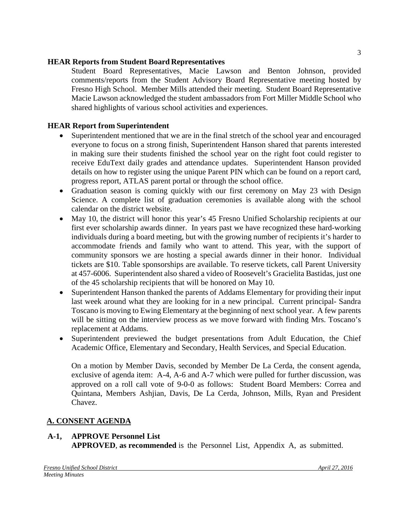#### **HEAR Reports from Student Board Representatives**

Student Board Representatives, Macie Lawson and Benton Johnson, provided comments/reports from the Student Advisory Board Representative meeting hosted by Fresno High School. Member Mills attended their meeting. Student Board Representative Macie Lawson acknowledged the student ambassadors from Fort Miller Middle School who shared highlights of various school activities and experiences.

# **HEAR Report from Superintendent**

- Superintendent mentioned that we are in the final stretch of the school year and encouraged everyone to focus on a strong finish, Superintendent Hanson shared that parents interested in making sure their students finished the school year on the right foot could register to receive EduText daily grades and attendance updates. Superintendent Hanson provided details on how to register using the unique Parent PIN which can be found on a report card, progress report, ATLAS parent portal or through the school office.
- Graduation season is coming quickly with our first ceremony on May 23 with Design Science. A complete list of graduation ceremonies is available along with the school calendar on the district [website.](http://www.fresnounified.org/schools/Documents/2016-Grad-Schedule.pdf)
- May 10, the district will honor this year's 45 Fresno Unified Scholarship recipients at our first ever scholarship awards dinner. In years past we have recognized these hard-working individuals during a board meeting, but with the growing number of recipients it's harder to accommodate friends and family who want to attend. This year, with the support of community sponsors we are hosting a special awards dinner in their honor. Individual tickets are \$10. Table sponsorships are available. To reserve tickets, call Parent University at 457-6006. Superintendent also shared a [video](https://vimeo.com/163352053) of Roosevelt's Gracielita Bastidas, just one of the 45 scholarship recipients that will be honored on May 10.
- Superintendent Hanson thanked the parents of Addams Elementary for providing their input last week around what they are looking for in a new principal. Current principal- Sandra Toscano is moving to Ewing Elementary at the beginning of next school year. A few parents will be sitting on the interview process as we move forward with finding Mrs. Toscano's replacement at Addams.
- Superintendent previewed the budget presentations from Adult Education, the Chief Academic Office, Elementary and Secondary, Health Services, and Special Education.

On a motion by Member Davis, seconded by Member De La Cerda, the consent agenda, exclusive of agenda item: A-4, A-6 and A-7 which were pulled for further discussion, was approved on a roll call vote of 9-0-0 as follows: Student Board Members: Correa and Quintana, Members Ashjian, Davis, De La Cerda, Johnson, Mills, Ryan and President Chavez.

# **A. CONSENT AGENDA**

# **A-1, APPROVE Personnel List**

**APPROVED**, **as recommended** is the Personnel List, Appendix A, as submitted.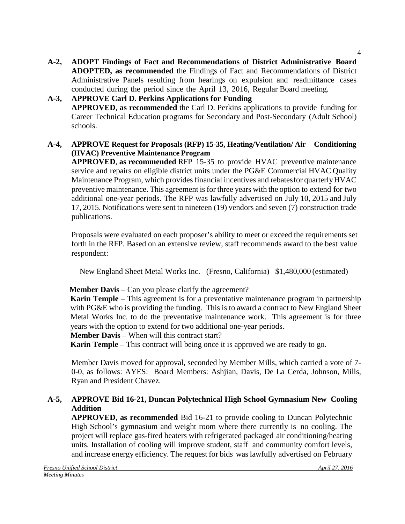**A-2, ADOPT Findings of Fact and Recommendations of District Administrative Board ADOPTED, as recommended** the Findings of Fact and Recommendations of District Administrative Panels resulting from hearings on expulsion and readmittance cases conducted during the period since the April 13, 2016, Regular Board meeting.

**A-3, APPROVE Carl D. Perkins Applications for Funding APPROVED**, **as recommended** the Carl D. Perkins applications to provide funding for Career Technical Education programs for Secondary and Post-Secondary (Adult School) schools.

# **A-4, APPROVE Request for Proposals (RFP) 15-35, Heating/Ventilation/ Air Conditioning (HVAC) Preventive Maintenance Program**

**APPROVED**, **as recommended** RFP 15-35 to provide HVAC preventive maintenance service and repairs on eligible district units under the PG&E Commercial HVAC Quality Maintenance Program, which provides financial incentives and rebatesfor quarterlyHVAC preventive maintenance. This agreement isfor three years with the option to extend for two additional one-year periods. The RFP was lawfully advertised on July 10, 2015 and July 17, 2015. Notifications were sent to nineteen (19) vendors and seven (7) construction trade publications.

Proposals were evaluated on each proposer's ability to meet or exceed the requirements set forth in the RFP. Based on an extensive review, staff recommends award to the best value respondent:

New England Sheet Metal Works Inc. (Fresno, California) \$1,480,000 (estimated)

# **Member Davis** – Can you please clarify the agreement?

**Karin Temple** – This agreement is for a preventative maintenance program in partnership with PG&E who is providing the funding. This is to award a contract to New England Sheet Metal Works Inc. to do the preventative maintenance work. This agreement is for three years with the option to extend for two additional one-year periods.

**Member Davis** – When will this contract start?

**Karin Temple** – This contract will being once it is approved we are ready to go.

Member Davis moved for approval, seconded by Member Mills, which carried a vote of 7- 0-0, as follows: AYES: Board Members: Ashjian, Davis, De La Cerda, Johnson, Mills, Ryan and President Chavez.

# **A-5, APPROVE Bid 16-21, Duncan Polytechnical High School Gymnasium New Cooling Addition**

**APPROVED**, **as recommended** Bid 16-21 to provide cooling to Duncan Polytechnic High School's gymnasium and weight room where there currently is no cooling. The project will replace gas-fired heaters with refrigerated packaged air conditioning/heating units. Installation of cooling will improve student, staff and community comfort levels, and increase energy efficiency. The request for bids was lawfully advertised on February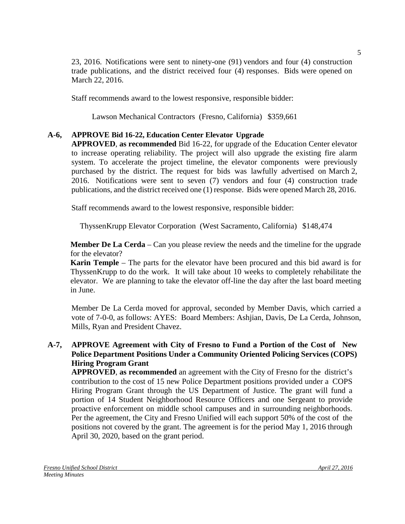23, 2016. Notifications were sent to ninety-one (91) vendors and four (4) construction trade publications, and the district received four (4) responses. Bids were opened on March 22, 2016.

Staff recommends award to the lowest responsive, responsible bidder:

Lawson Mechanical Contractors (Fresno, California) \$359,661

# **A-6, APPROVE Bid 16-22, Education Center Elevator Upgrade**

**APPROVED**, **as recommended** Bid 16-22, for upgrade of the Education Center elevator to increase operating reliability. The project will also upgrade the existing fire alarm system. To accelerate the project timeline, the elevator components were previously purchased by the district. The request for bids was lawfully advertised on March 2, 2016. Notifications were sent to seven (7) vendors and four (4) construction trade publications, and the district received one (1) response. Bids were opened March 28, 2016.

Staff recommends award to the lowest responsive, responsible bidder:

ThyssenKrupp Elevator Corporation (West Sacramento, California) \$148,474

**Member De La Cerda** – Can you please review the needs and the timeline for the upgrade for the elevator?

**Karin Temple** – The parts for the elevator have been procured and this bid award is for ThyssenKrupp to do the work. It will take about 10 weeks to completely rehabilitate the elevator. We are planning to take the elevator off-line the day after the last board meeting in June.

Member De La Cerda moved for approval, seconded by Member Davis, which carried a vote of 7-0-0, as follows: AYES: Board Members: Ashjian, Davis, De La Cerda, Johnson, Mills, Ryan and President Chavez.

# **A-7, APPROVE Agreement with City of Fresno to Fund a Portion of the Cost of New Police Department Positions Under a Community Oriented Policing Services (COPS) Hiring Program Grant**

**APPROVED**, **as recommended** an agreement with the City of Fresno for the district's contribution to the cost of 15 new Police Department positions provided under a COPS Hiring Program Grant through the US Department of Justice. The grant will fund a portion of 14 Student Neighborhood Resource Officers and one Sergeant to provide proactive enforcement on middle school campuses and in surrounding neighborhoods. Per the agreement, the City and Fresno Unified will each support 50% of the cost of the positions not covered by the grant. The agreement is for the period May 1, 2016 through April 30, 2020, based on the grant period.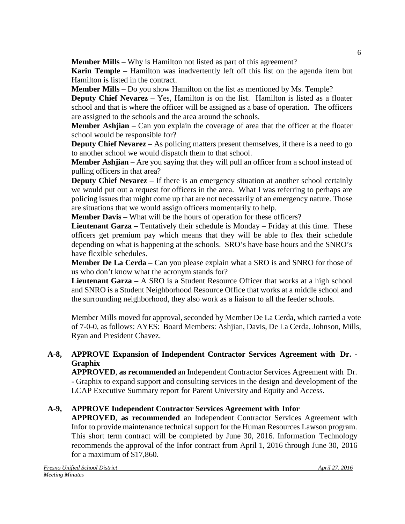**Member Mills** – Why is Hamilton not listed as part of this agreement?

**Karin Temple** – Hamilton was inadvertently left off this list on the agenda item but Hamilton is listed in the contract.

**Member Mills** – Do you show Hamilton on the list as mentioned by Ms. Temple?

**Deputy Chief Nevarez** – Yes, Hamilton is on the list. Hamilton is listed as a floater school and that is where the officer will be assigned as a base of operation. The officers are assigned to the schools and the area around the schools.

**Member Ashjian** – Can you explain the coverage of area that the officer at the floater school would be responsible for?

**Deputy Chief Nevarez** – As policing matters present themselves, if there is a need to go to another school we would dispatch them to that school.

**Member Ashjian** – Are you saying that they will pull an officer from a school instead of pulling officers in that area?

**Deputy Chief Nevarez** – If there is an emergency situation at another school certainly we would put out a request for officers in the area. What I was referring to perhaps are policing issues that might come up that are not necessarily of an emergency nature. Those are situations that we would assign officers momentarily to help.

**Member Davis** – What will be the hours of operation for these officers?

**Lieutenant Garza –** Tentatively their schedule is Monday – Friday at this time. These officers get premium pay which means that they will be able to flex their schedule depending on what is happening at the schools. SRO's have base hours and the SNRO's have flexible schedules.

**Member De La Cerda** – Can you please explain what a SRO is and SNRO for those of us who don't know what the acronym stands for?

**Lieutenant Garza** – A SRO is a Student Resource Officer that works at a high school and SNRO is a Student Neighborhood Resource Office that works at a middle school and the surrounding neighborhood, they also work as a liaison to all the feeder schools.

Member Mills moved for approval, seconded by Member De La Cerda, which carried a vote of 7-0-0, as follows: AYES: Board Members: Ashjian, Davis, De La Cerda, Johnson, Mills, Ryan and President Chavez.

# **A-8, APPROVE Expansion of Independent Contractor Services Agreement with Dr. - Graphix**

**APPROVED**, **as recommended** an Independent Contractor Services Agreement with Dr. - Graphix to expand support and consulting services in the design and development of the LCAP Executive Summary report for Parent University and Equity and Access.

# **A-9, APPROVE Independent Contractor Services Agreement with Infor**

**APPROVED**, **as recommended** an Independent Contractor Services Agreement with Infor to provide maintenance technical support for the Human Resources Lawson program. This short term contract will be completed by June 30, 2016. Information Technology recommends the approval of the Infor contract from April 1, 2016 through June 30, 2016 for a maximum of \$17,860.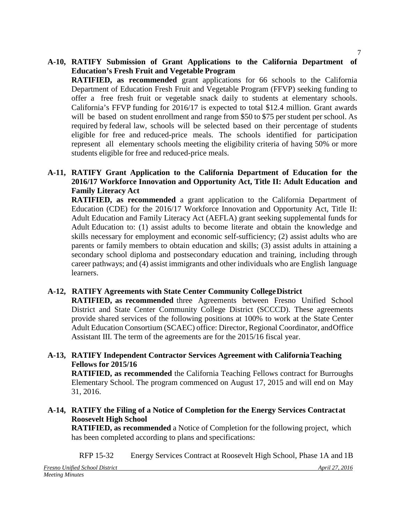# **A-10, RATIFY Submission of Grant Applications to the California Department of Education's Fresh Fruit and Vegetable Program**

**RATIFIED, as recommended** grant applications for 66 schools to the California Department of Education Fresh Fruit and Vegetable Program (FFVP) seeking funding to offer a free fresh fruit or vegetable snack daily to students at elementary schools. California's FFVP funding for 2016/17 is expected to total \$12.4 million. Grant awards will be based on student enrollment and range from \$50 to \$75 per student per school. As required by federal law, schools will be selected based on their percentage of students eligible for free and reduced-price meals. The schools identified for participation represent all elementary schools meeting the eligibility criteria of having 50% or more students eligible for free and reduced-price meals.

# **A-11, RATIFY Grant Application to the California Department of Education for the 2016/17 Workforce Innovation and Opportunity Act, Title II: Adult Education and Family Literacy Act**

**RATIFIED, as recommended** a grant application to the California Department of Education (CDE) for the 2016/17 Workforce Innovation and Opportunity Act, Title II: Adult Education and Family Literacy Act (AEFLA) grant seeking supplemental funds for Adult Education to: (1) assist adults to become literate and obtain the knowledge and skills necessary for employment and economic self-sufficiency; (2) assist adults who are parents or family members to obtain education and skills; (3) assist adults in attaining a secondary school diploma and postsecondary education and training, including through career pathways; and (4) assist immigrants and other individuals who are English language learners.

# **A-12, RATIFY Agreements with State Center Community CollegeDistrict**

**RATIFIED, as recommended** three Agreements between Fresno Unified School District and State Center Community College District (SCCCD). These agreements provide shared services of the following positions at 100% to work at the State Center Adult Education Consortium (SCAEC) office: Director, Regional Coordinator, andOffice Assistant III. The term of the agreements are for the 2015/16 fiscal year.

# **A-13, RATIFY Independent Contractor Services Agreement with CaliforniaTeaching Fellows for 2015/16**

**RATIFIED, as recommended** the California Teaching Fellows contract for Burroughs Elementary School. The program commenced on August 17, 2015 and will end on May 31, 2016.

# **A-14, RATIFY the Filing of a Notice of Completion for the Energy Services Contractat Roosevelt High School**

**RATIFIED, as recommended** a Notice of Completion for the following project, which has been completed according to plans and specifications:

RFP 15-32 Energy Services Contract at Roosevelt High School, Phase 1A and 1B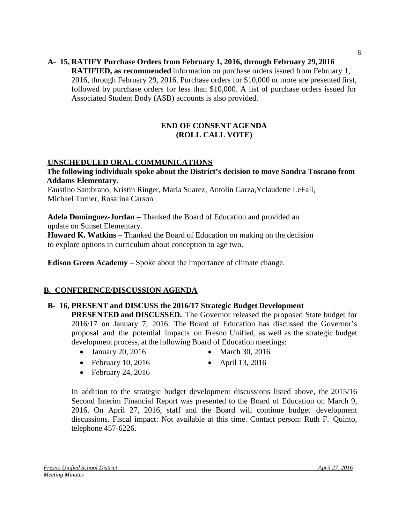#### **A- 15, RATIFY Purchase Orders from February 1, 2016, through February 29, 2016 RATIFIED, as recommended** information on purchase orders issued from February 1, 2016, through February 29, 2016. Purchase orders for \$10,000 or more are presented first, followed by purchase orders for less than \$10,000. A list of purchase orders issued for Associated Student Body (ASB) accounts is also provided.

#### **END OF CONSENT AGENDA (ROLL CALL VOTE)**

# **UNSCHEDULED ORAL COMMUNICATIONS**

**The following individuals spoke about the District's decision to move Sandra Toscano from Addams Elementary.**

Faustino Sambrano, Kristin Ringer, Maria Suarez, Antolin Garza,Yclaudette LeFall, Michael Turner, Rosalina Carson

**Adela Dominguez-Jordan** – Thanked the Board of Education and provided an update on Sunset Elementary.

**Howard K. Watkins** – Thanked the Board of Education on making on the decision to explore options in curriculum about conception to age two.

**Edison Green Academy** – Spoke about the importance of climate change.

# **B. CONFERENCE/DISCUSSION AGENDA**

# **B- 16, PRESENT and DISCUSS the 2016/17 Strategic Budget Development**

**PRESENTED and DISCUSSED.** The Governor released the proposed State budget for 2016/17 on January 7, 2016. The Board of Education has discussed the Governor's proposal and the potential impacts on Fresno Unified, as well as the strategic budget development process, at the following Board of Education meetings:

- January 20, 2016 March 30, 2016
- 
- February 10, 2016 April 13, 2016
	-

• February 24, 2016

In addition to the strategic budget development discussions listed above, the 2015/16 Second Interim Financial Report was presented to the Board of Education on March 9, 2016. On April 27, 2016, staff and the Board will continue budget development discussions. Fiscal impact: Not available at this time. Contact person: Ruth F. Quinto, telephone 457-6226.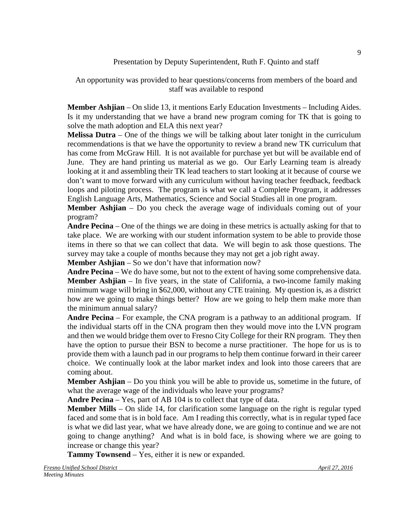## Presentation by Deputy Superintendent, Ruth F. Quinto and staff

An opportunity was provided to hear questions/concerns from members of the board and staff was available to respond

**Member Ashjian** – On slide 13, it mentions Early Education Investments – Including Aides. Is it my understanding that we have a brand new program coming for TK that is going to solve the math adoption and ELA this next year?

**Melissa Dutra** – One of the things we will be talking about later tonight in the curriculum recommendations is that we have the opportunity to review a brand new TK curriculum that has come from McGraw Hill. It is not available for purchase yet but will be available end of June. They are hand printing us material as we go. Our Early Learning team is already looking at it and assembling their TK lead teachers to start looking at it because of course we don't want to move forward with any curriculum without having teacher feedback, feedback loops and piloting process. The program is what we call a Complete Program, it addresses English Language Arts, Mathematics, Science and Social Studies all in one program.

**Member Ashijan** – Do you check the average wage of individuals coming out of your program?

**Andre Pecina** – One of the things we are doing in these metrics is actually asking for that to take place. We are working with our student information system to be able to provide those items in there so that we can collect that data. We will begin to ask those questions. The survey may take a couple of months because they may not get a job right away.

**Member Ashjian** – So we don't have that information now?

**Andre Pecina** – We do have some, but not to the extent of having some comprehensive data. **Member Ashijan** – In five years, in the state of California, a two-income family making minimum wage will bring in \$62,000, without any CTE training. My question is, as a district how are we going to make things better? How are we going to help them make more than the minimum annual salary?

**Andre Pecina** – For example, the CNA program is a pathway to an additional program. If the individual starts off in the CNA program then they would move into the LVN program and then we would bridge them over to Fresno City College for their RN program. They then have the option to pursue their BSN to become a nurse practitioner. The hope for us is to provide them with a launch pad in our programs to help them continue forward in their career choice. We continually look at the labor market index and look into those careers that are coming about.

**Member Ashjian** – Do you think you will be able to provide us, sometime in the future, of what the average wage of the individuals who leave your programs?

**Andre Pecina** – Yes, part of AB 104 is to collect that type of data.

**Member Mills** – On slide 14, for clarification some language on the right is regular typed faced and some that is in bold face. Am I reading this correctly, what is in regular typed face is what we did last year, what we have already done, we are going to continue and we are not going to change anything? And what is in bold face, is showing where we are going to increase or change this year?

**Tammy Townsend** – Yes, either it is new or expanded.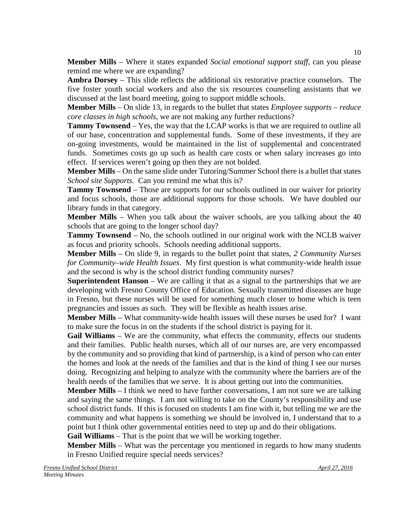**Member Mills** – Where it states expanded *Social emotional support staff*, can you please remind me where we are expanding?

**Ambra Dorsey** – This slide reflects the additional six restorative practice counselors. The five foster youth social workers and also the six resources counseling assistants that we discussed at the last board meeting, going to support middle schools.

**Member Mills** – On slide 13, in regards to the bullet that states *Employee supports – reduce core classes in high schools*, we are not making any further reductions?

**Tammy Townsend** – Yes, the way that the LCAP works is that we are required to outline all of our base, concentration and supplemental funds. Some of these investments, if they are on-going investments, would be maintained in the list of supplemental and concentrated funds. Sometimes costs go up such as health care costs or when salary increases go into effect. If services weren't going up then they are not bolded.

**Member Mills** – On the same slide under Tutoring/Summer School there is a bullet that states *School site Supports.* Can you remind me what this is?

**Tammy Townsend** – Those are supports for our schools outlined in our waiver for priority and focus schools, those are additional supports for those schools. We have doubled our library funds in that category.

**Member Mills** – When you talk about the waiver schools, are you talking about the 40 schools that are going to the longer school day?

**Tammy Townsend** – No, the schools outlined in our original work with the NCLB waiver as focus and priority schools. Schools needing additional supports.

**Member Mills** – On slide 9, in regards to the bullet point that states, *2 Community Nurses for Community–wide Health Issues*. My first question is what community-wide health issue and the second is why is the school district funding community nurses?

**Superintendent Hanson** – We are calling it that as a signal to the partnerships that we are developing with Fresno County Office of Education. Sexually transmitted diseases are huge in Fresno, but these nurses will be used for something much closer to home which is teen pregnancies and issues as such. They will be flexible as health issues arise.

**Member Mills** – What community-wide health issues will these nurses be used for? I want to make sure the focus in on the students if the school district is paying for it.

**Gail Williams** – We are the community, what effects the community, effects our students and their families. Public health nurses, which all of our nurses are, are very encompassed by the community and so providing that kind of partnership, is a kind of person who can enter the homes and look at the needs of the families and that is the kind of thing I see our nurses doing. Recognizing and helping to analyze with the community where the barriers are of the health needs of the families that we serve. It is about getting out into the communities.

**Member Mills** – I think we need to have further conversations, I am not sure we are talking and saying the same things. I am not willing to take on the County's responsibility and use school district funds. If this is focused on students I am fine with it, but telling me we are the community and what happens is something we should be involved in, I understand that to a point but I think other governmental entities need to step up and do their obligations.

**Gail Williams** – That is the point that we will be working together.

**Member Mills** – What was the percentage you mentioned in regards to how many students in Fresno Unified require special needs services?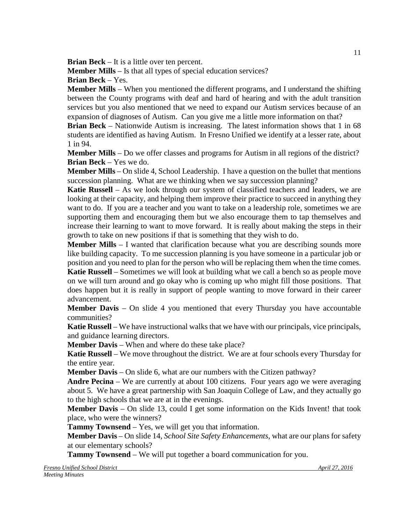**Brian Beck** – It is a little over ten percent.

**Member Mills** – Is that all types of special education services?

**Brian Beck** – Yes.

**Member Mills** – When you mentioned the different programs, and I understand the shifting between the County programs with deaf and hard of hearing and with the adult transition services but you also mentioned that we need to expand our Autism services because of an expansion of diagnoses of Autism. Can you give me a little more information on that?

**Brian Beck** – Nationwide Autism is increasing. The latest information shows that 1 in 68 students are identified as having Autism. In Fresno Unified we identify at a lesser rate, about 1 in 94.

**Member Mills** – Do we offer classes and programs for Autism in all regions of the district? **Brian Beck** – Yes we do.

**Member Mills** – On slide 4, School Leadership. I have a question on the bullet that mentions succession planning. What are we thinking when we say succession planning?

**Katie Russell** – As we look through our system of classified teachers and leaders, we are looking at their capacity, and helping them improve their practice to succeed in anything they want to do. If you are a teacher and you want to take on a leadership role, sometimes we are supporting them and encouraging them but we also encourage them to tap themselves and increase their learning to want to move forward. It is really about making the steps in their growth to take on new positions if that is something that they wish to do.

**Member Mills** – I wanted that clarification because what you are describing sounds more like building capacity. To me succession planning is you have someone in a particular job or position and you need to plan for the person who will be replacing them when the time comes. **Katie Russell** – Sometimes we will look at building what we call a bench so as people move on we will turn around and go okay who is coming up who might fill those positions. That does happen but it is really in support of people wanting to move forward in their career advancement.

**Member Davis** – On slide 4 you mentioned that every Thursday you have accountable communities?

**Katie Russell** – We have instructional walks that we have with our principals, vice principals, and guidance learning directors.

**Member Davis** – When and where do these take place?

**Katie Russell** – We move throughout the district. We are at four schools every Thursday for the entire year.

**Member Davis** – On slide 6, what are our numbers with the Citizen pathway?

**Andre Pecina** – We are currently at about 100 citizens. Four years ago we were averaging about 5. We have a great partnership with San Joaquin College of Law, and they actually go to the high schools that we are at in the evenings.

**Member Davis** – On slide 13, could I get some information on the Kids Invent! that took place, who were the winners?

**Tammy Townsend** – Yes, we will get you that information.

**Member Davis** – On slide 14, *School Site Safety Enhancements*, what are our plans for safety at our elementary schools?

**Tammy Townsend** – We will put together a board communication for you.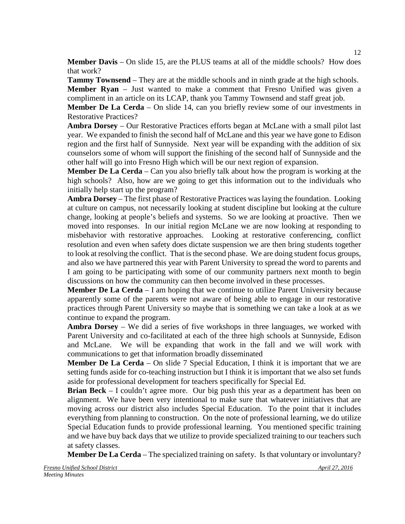**Member Davis** – On slide 15, are the PLUS teams at all of the middle schools? How does that work?

**Tammy Townsend** – They are at the middle schools and in ninth grade at the high schools.

**Member Ryan** – Just wanted to make a comment that Fresno Unified was given a compliment in an article on its LCAP, thank you Tammy Townsend and staff great job.

**Member De La Cerda** – On slide 14, can you briefly review some of our investments in Restorative Practices?

**Ambra Dorsey** – Our Restorative Practices efforts began at McLane with a small pilot last year. We expanded to finish the second half of McLane and this year we have gone to Edison region and the first half of Sunnyside. Next year will be expanding with the addition of six counselors some of whom will support the finishing of the second half of Sunnyside and the other half will go into Fresno High which will be our next region of expansion.

**Member De La Cerda** – Can you also briefly talk about how the program is working at the high schools? Also, how are we going to get this information out to the individuals who initially help start up the program?

**Ambra Dorsey** – The first phase of Restorative Practices was laying the foundation. Looking at culture on campus, not necessarily looking at student discipline but looking at the culture change, looking at people's beliefs and systems. So we are looking at proactive. Then we moved into responses. In our initial region McLane we are now looking at responding to misbehavior with restorative approaches. Looking at restorative conferencing, conflict resolution and even when safety does dictate suspension we are then bring students together to look at resolving the conflict. That is the second phase. We are doing student focus groups, and also we have partnered this year with Parent University to spread the word to parents and I am going to be participating with some of our community partners next month to begin discussions on how the community can then become involved in these processes.

**Member De La Cerda** – I am hoping that we continue to utilize Parent University because apparently some of the parents were not aware of being able to engage in our restorative practices through Parent University so maybe that is something we can take a look at as we continue to expand the program.

**Ambra Dorsey** – We did a series of five workshops in three languages, we worked with Parent University and co-facilitated at each of the three high schools at Sunnyside, Edison and McLane. We will be expanding that work in the fall and we will work with communications to get that information broadly disseminated

**Member De La Cerda** – On slide 7 Special Education, I think it is important that we are setting funds aside for co-teaching instruction but I think it is important that we also set funds aside for professional development for teachers specifically for Special Ed.

**Brian Beck** – I couldn't agree more. Our big push this year as a department has been on alignment. We have been very intentional to make sure that whatever initiatives that are moving across our district also includes Special Education. To the point that it includes everything from planning to construction. On the note of professional learning, we do utilize Special Education funds to provide professional learning. You mentioned specific training and we have buy back days that we utilize to provide specialized training to our teachers such at safety classes.

**Member De La Cerda** – The specialized training on safety. Is that voluntary or involuntary?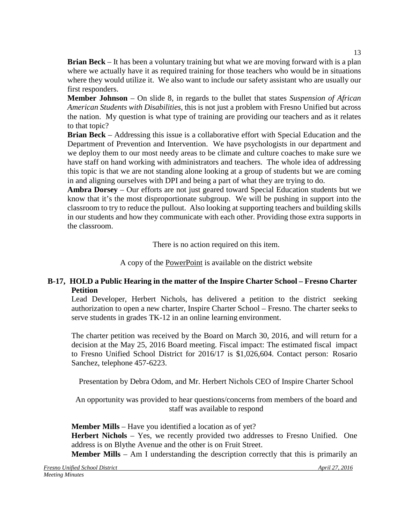**Brian Beck** – It has been a voluntary training but what we are moving forward with is a plan where we actually have it as required training for those teachers who would be in situations where they would utilize it. We also want to include our safety assistant who are usually our first responders.

**Member Johnson** – On slide 8, in regards to the bullet that states *Suspension of African American Students with Disabilities,* this is not just a problem with Fresno Unified but across the nation. My question is what type of training are providing our teachers and as it relates to that topic?

**Brian Beck** – Addressing this issue is a collaborative effort with Special Education and the Department of Prevention and Intervention. We have psychologists in our department and we deploy them to our most needy areas to be climate and culture coaches to make sure we have staff on hand working with administrators and teachers. The whole idea of addressing this topic is that we are not standing alone looking at a group of students but we are coming in and aligning ourselves with DPI and being a part of what they are trying to do.

**Ambra Dorsey** – Our efforts are not just geared toward Special Education students but we know that it's the most disproportionate subgroup. We will be pushing in support into the classroom to try to reduce the pullout. Also looking at supporting teachers and building skills in our students and how they communicate with each other. Providing those extra supports in the classroom.

There is no action required on this item.

A copy of the PowerPoint is available on the district website

# **B-17, HOLD a Public Hearing in the matter of the Inspire Charter School – Fresno Charter Petition**

Lead Developer, Herbert Nichols, has delivered a petition to the district seeking authorization to open a new charter, Inspire Charter School – Fresno. The charter seeks to serve students in grades TK-12 in an online learning environment.

The charter petition was received by the Board on March 30, 2016, and will return for a decision at the May 25, 2016 Board meeting. Fiscal impact: The estimated fiscal impact to Fresno Unified School District for 2016/17 is \$1,026,604. Contact person: Rosario Sanchez, telephone 457-6223.

Presentation by Debra Odom, and Mr. Herbert Nichols CEO of Inspire Charter School

An opportunity was provided to hear questions/concerns from members of the board and staff was available to respond

**Member Mills** – Have you identified a location as of yet? **Herbert Nichols** – Yes, we recently provided two addresses to Fresno Unified. One address is on Blythe Avenue and the other is on Fruit Street.

**Member Mills** – Am I understanding the description correctly that this is primarily an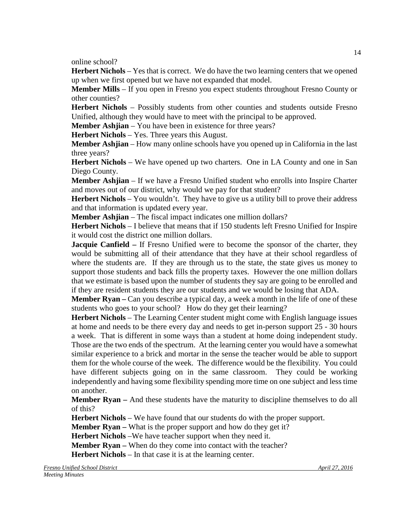online school?

**Herbert Nichols** – Yes that is correct. We do have the two learning centers that we opened up when we first opened but we have not expanded that model.

**Member Mills** – If you open in Fresno you expect students throughout Fresno County or other counties?

**Herbert Nichols** – Possibly students from other counties and students outside Fresno Unified, although they would have to meet with the principal to be approved.

**Member Ashjian** – You have been in existence for three years?

**Herbert Nichols** – Yes. Three years this August.

**Member Ashjian** – How many online schools have you opened up in California in the last three years?

**Herbert Nichols** – We have opened up two charters. One in LA County and one in San Diego County.

**Member Ashjian** – If we have a Fresno Unified student who enrolls into Inspire Charter and moves out of our district, why would we pay for that student?

**Herbert Nichols** – You wouldn't. They have to give us a utility bill to prove their address and that information is updated every year.

**Member Ashjian** – The fiscal impact indicates one million dollars?

**Herbert Nichols** – I believe that means that if 150 students left Fresno Unified for Inspire it would cost the district one million dollars.

**Jacquie Canfield –** If Fresno Unified were to become the sponsor of the charter, they would be submitting all of their attendance that they have at their school regardless of where the students are. If they are through us to the state, the state gives us money to support those students and back fills the property taxes. However the one million dollars that we estimate is based upon the number of students they say are going to be enrolled and if they are resident students they are our students and we would be losing that ADA.

**Member Ryan –** Can you describe a typical day, a week a month in the life of one of these students who goes to your school?How do they get their learning?

**Herbert Nichols** – The Learning Center student might come with English language issues at home and needs to be there every day and needs to get in-person support 25 - 30 hours a week. That is different in some ways than a student at home doing independent study. Those are the two ends of the spectrum. At the learning center you would have a somewhat similar experience to a brick and mortar in the sense the teacher would be able to support them for the whole course of the week. The difference would be the flexibility. You could have different subjects going on in the same classroom. They could be working independently and having some flexibility spending more time on one subject and less time on another.

**Member Ryan** – And these students have the maturity to discipline themselves to do all of this?

**Herbert Nichols** – We have found that our students do with the proper support.

**Member Ryan –** What is the proper support and how do they get it?

**Herbert Nichols** –We have teacher support when they need it.

**Member Ryan –** When do they come into contact with the teacher?

**Herbert Nichols** – In that case it is at the learning center.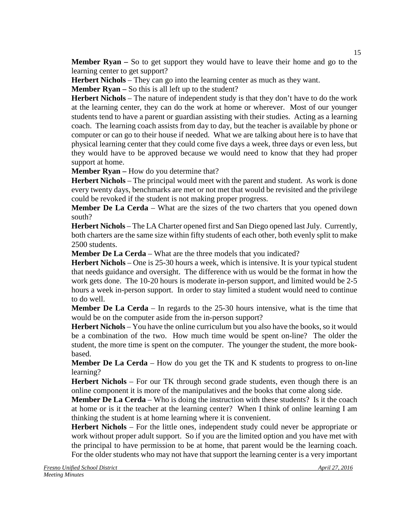**Member Ryan** – So to get support they would have to leave their home and go to the learning center to get support?

**Herbert Nichols** – They can go into the learning center as much as they want.

**Member Ryan** – So this is all left up to the student?

**Herbert Nichols** – The nature of independent study is that they don't have to do the work at the learning center, they can do the work at home or wherever. Most of our younger students tend to have a parent or guardian assisting with their studies. Acting as a learning coach. The learning coach assists from day to day, but the teacher is available by phone or computer or can go to their house if needed. What we are talking about here is to have that physical learning center that they could come five days a week, three days or even less, but they would have to be approved because we would need to know that they had proper support at home.

**Member Ryan –** How do you determine that?

**Herbert Nichols** – The principal would meet with the parent and student. As work is done every twenty days, benchmarks are met or not met that would be revisited and the privilege could be revoked if the student is not making proper progress.

**Member De La Cerda** – What are the sizes of the two charters that you opened down south?

**Herbert Nichols** – The LA Charter opened first and San Diego opened last July. Currently, both charters are the same size within fifty students of each other, both evenly split to make 2500 students.

**Member De La Cerda** – What are the three models that you indicated?

**Herbert Nichols** – One is 25-30 hours a week, which is intensive. It is your typical student that needs guidance and oversight. The difference with us would be the format in how the work gets done. The 10-20 hours is moderate in-person support, and limited would be 2-5 hours a week in-person support. In order to stay limited a student would need to continue to do well.

**Member De La Cerda** – In regards to the 25-30 hours intensive, what is the time that would be on the computer aside from the in-person support?

**Herbert Nichols** – You have the online curriculum but you also have the books, so it would be a combination of the two. How much time would be spent on-line? The older the student, the more time is spent on the computer. The younger the student, the more bookbased.

**Member De La Cerda** – How do you get the TK and K students to progress to on-line learning?

**Herbert Nichols** – For our TK through second grade students, even though there is an online component it is more of the manipulatives and the books that come along side.

**Member De La Cerda** – Who is doing the instruction with these students? Is it the coach at home or is it the teacher at the learning center? When I think of online learning I am thinking the student is at home learning where it is convenient.

**Herbert Nichols** – For the little ones, independent study could never be appropriate or work without proper adult support. So if you are the limited option and you have met with the principal to have permission to be at home, that parent would be the learning coach. For the older students who may not have that support the learning center is a very important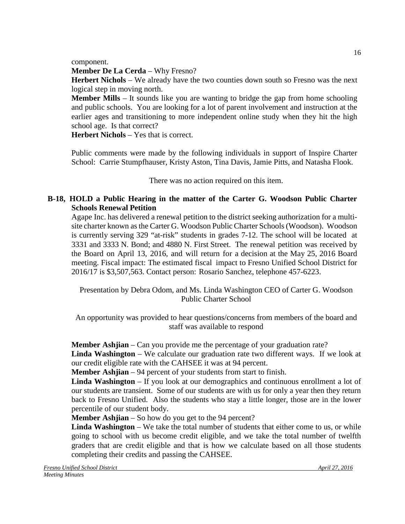component.

**Member De La Cerda** – Why Fresno?

Herbert Nichols – We already have the two counties down south so Fresno was the next logical step in moving north.

**Member Mills** – It sounds like you are wanting to bridge the gap from home schooling and public schools. You are looking for a lot of parent involvement and instruction at the earlier ages and transitioning to more independent online study when they hit the high school age. Is that correct?

**Herbert Nichols** – Yes that is correct.

Public comments were made by the following individuals in support of Inspire Charter School: Carrie Stumpfhauser, Kristy Aston, Tina Davis, Jamie Pitts, and Natasha Flook.

There was no action required on this item.

# **B-18, HOLD a Public Hearing in the matter of the Carter G. Woodson Public Charter Schools Renewal Petition**

Agape Inc. has delivered a renewal petition to the district seeking authorization for a multisite charter known asthe Carter G. Woodson Public Charter Schools(Woodson). Woodson is currently serving 329 "at-risk" students in grades 7-12. The school will be located at 3331 and 3333 N. Bond; and 4880 N. First Street. The renewal petition was received by the Board on April 13, 2016, and will return for a decision at the May 25, 2016 Board meeting. Fiscal impact: The estimated fiscal impact to Fresno Unified School District for 2016/17 is \$3,507,563. Contact person: Rosario Sanchez, telephone 457-6223.

Presentation by Debra Odom, and Ms. Linda Washington CEO of Carter G. Woodson Public Charter School

An opportunity was provided to hear questions/concerns from members of the board and staff was available to respond

**Member Ashjian** – Can you provide me the percentage of your graduation rate?

**Linda Washington** – We calculate our graduation rate two different ways. If we look at our credit eligible rate with the CAHSEE it was at 94 percent.

**Member Ashjian** – 94 percent of your students from start to finish.

**Linda Washington** – If you look at our demographics and continuous enrollment a lot of our students are transient. Some of our students are with us for only a year then they return back to Fresno Unified. Also the students who stay a little longer, those are in the lower percentile of our student body.

**Member Ashjian** – So how do you get to the 94 percent?

**Linda Washington** – We take the total number of students that either come to us, or while going to school with us become credit eligible, and we take the total number of twelfth graders that are credit eligible and that is how we calculate based on all those students completing their credits and passing the CAHSEE.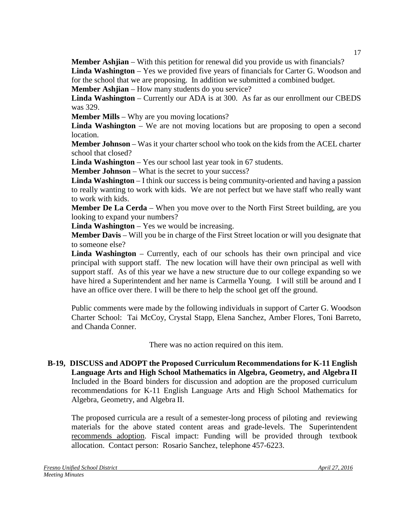**Member Ashjian** – With this petition for renewal did you provide us with financials? **Linda Washington** – Yes we provided five years of financials for Carter G. Woodson and for the school that we are proposing. In addition we submitted a combined budget.

**Member Ashjian** – How many students do you service?

**Linda Washington** – Currently our ADA is at 300. As far as our enrollment our CBEDS was 329.

**Member Mills** – Why are you moving locations?

**Linda Washington** – We are not moving locations but are proposing to open a second location.

**Member Johnson** – Was it your charter school who took on the kids from the ACEL charter school that closed?

**Linda Washington** – Yes our school last year took in 67 students.

**Member Johnson** – What is the secret to your success?

**Linda Washington** – I think our success is being community-oriented and having a passion to really wanting to work with kids. We are not perfect but we have staff who really want to work with kids.

**Member De La Cerda** – When you move over to the North First Street building, are you looking to expand your numbers?

**Linda Washington** – Yes we would be increasing.

**Member Davis** – Will you be in charge of the First Street location or will you designate that to someone else?

**Linda Washington** – Currently, each of our schools has their own principal and vice principal with support staff. The new location will have their own principal as well with support staff. As of this year we have a new structure due to our college expanding so we have hired a Superintendent and her name is Carmella Young. I will still be around and I have an office over there. I will be there to help the school get off the ground.

Public comments were made by the following individuals in support of Carter G. Woodson Charter School: Tai McCoy, Crystal Stapp, Elena Sanchez, Amber Flores, Toni Barreto, and Chanda Conner.

There was no action required on this item.

**B-19, DISCUSS and ADOPT the Proposed Curriculum Recommendations for K-11 English Language Arts and High School Mathematics in Algebra, Geometry, and Algebra II**  Included in the Board binders for discussion and adoption are the proposed curriculum recommendations for K-11 English Language Arts and High School Mathematics for Algebra, Geometry, and Algebra II.

The proposed curricula are a result of a semester-long process of piloting and reviewing materials for the above stated content areas and grade-levels. The Superintendent recommends adoption. Fiscal impact: Funding will be provided through textbook allocation. Contact person: Rosario Sanchez, telephone 457-6223.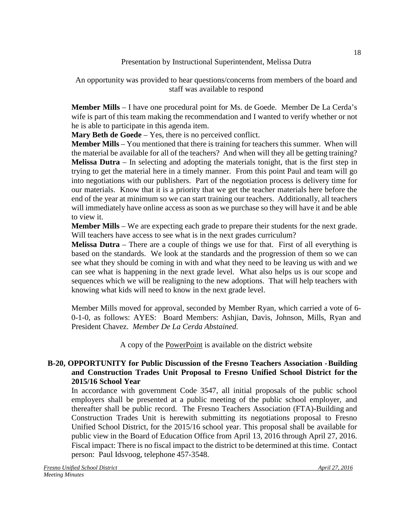## Presentation by Instructional Superintendent, Melissa Dutra

An opportunity was provided to hear questions/concerns from members of the board and staff was available to respond

**Member Mills** – I have one procedural point for Ms. de Goede. Member De La Cerda's wife is part of this team making the recommendation and I wanted to verify whether or not he is able to participate in this agenda item.

**Mary Beth de Goede** – Yes, there is no perceived conflict.

**Member Mills** – You mentioned that there is training for teachers this summer. When will the material be available for all of the teachers? And when will they all be getting training? **Melissa Dutra** – In selecting and adopting the materials tonight, that is the first step in trying to get the material here in a timely manner. From this point Paul and team will go into negotiations with our publishers. Part of the negotiation process is delivery time for our materials. Know that it is a priority that we get the teacher materials here before the end of the year at minimum so we can start training our teachers. Additionally, all teachers will immediately have online access as soon as we purchase so they will have it and be able to view it.

**Member Mills** – We are expecting each grade to prepare their students for the next grade. Will teachers have access to see what is in the next grades curriculum?

**Melissa Dutra** – There are a couple of things we use for that. First of all everything is based on the standards. We look at the standards and the progression of them so we can see what they should be coming in with and what they need to be leaving us with and we can see what is happening in the next grade level. What also helps us is our scope and sequences which we will be realigning to the new adoptions. That will help teachers with knowing what kids will need to know in the next grade level.

Member Mills moved for approval, seconded by Member Ryan, which carried a vote of 6- 0-1-0, as follows: AYES: Board Members: Ashjian, Davis, Johnson, Mills, Ryan and President Chavez. *Member De La Cerda Abstained.*

A copy of the PowerPoint is available on the district website

# **B-20, OPPORTUNITY for Public Discussion of the Fresno Teachers Association -Building and Construction Trades Unit Proposal to Fresno Unified School District for the 2015/16 School Year**

In accordance with government Code 3547, all initial proposals of the public school employers shall be presented at a public meeting of the public school employer, and thereafter shall be public record. The Fresno Teachers Association (FTA)-Building and Construction Trades Unit is herewith submitting its negotiations proposal to Fresno Unified School District, for the 2015/16 school year. This proposal shall be available for public view in the Board of Education Office from April 13, 2016 through April 27, 2016. Fiscal impact: There is no fiscal impact to the district to be determined at this time. Contact person: Paul Idsvoog, telephone 457-3548.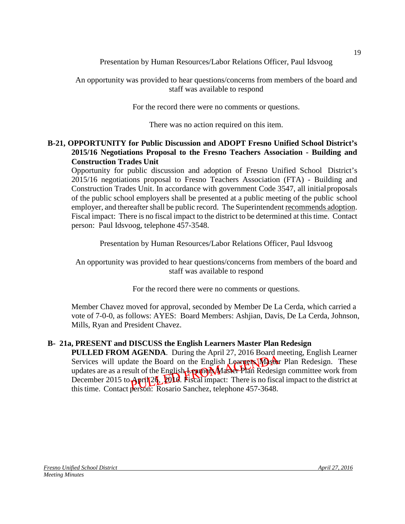Presentation by Human Resources/Labor Relations Officer, Paul Idsvoog

An opportunity was provided to hear questions/concerns from members of the board and staff was available to respond

For the record there were no comments or questions.

There was no action required on this item.

# **B-21, OPPORTUNITY for Public Discussion and ADOPT Fresno Unified School District's 2015/16 Negotiations Proposal to the Fresno Teachers Association - Building and Construction Trades Unit**

Opportunity for public discussion and adoption of Fresno Unified School District's 2015/16 negotiations proposal to Fresno Teachers Association (FTA) - Building and Construction Trades Unit. In accordance with government Code 3547, all initialproposals of the public school employers shall be presented at a public meeting of the public school employer, and thereafter shall be public record. The Superintendent recommends adoption. Fiscal impact: There is no fiscal impact to the district to be determined at this time. Contact person: Paul Idsvoog, telephone 457-3548.

Presentation by Human Resources/Labor Relations Officer, Paul Idsvoog

An opportunity was provided to hear questions/concerns from members of the board and staff was available to respond

For the record there were no comments or questions.

Member Chavez moved for approval, seconded by Member De La Cerda, which carried a vote of 7-0-0, as follows: AYES: Board Members: Ashjian, Davis, De La Cerda, Johnson, Mills, Ryan and President Chavez.

# **B- 21a, PRESENT and DISCUSS the English Learners Master Plan Redesign**

**PULLED FROM AGENDA**. During the April 27, 2016 Board meeting, English Learner Services will update the Board on the English Learners Master Plan Redesign. These updates are as a result of the English Learners Master Plan Redesign committee work from December 2015 to April 24, 2014. Fiscal impact: There is no fiscal impact to the district at thistime. Contact person: Rosario Sanchez, telephone 457-3648.